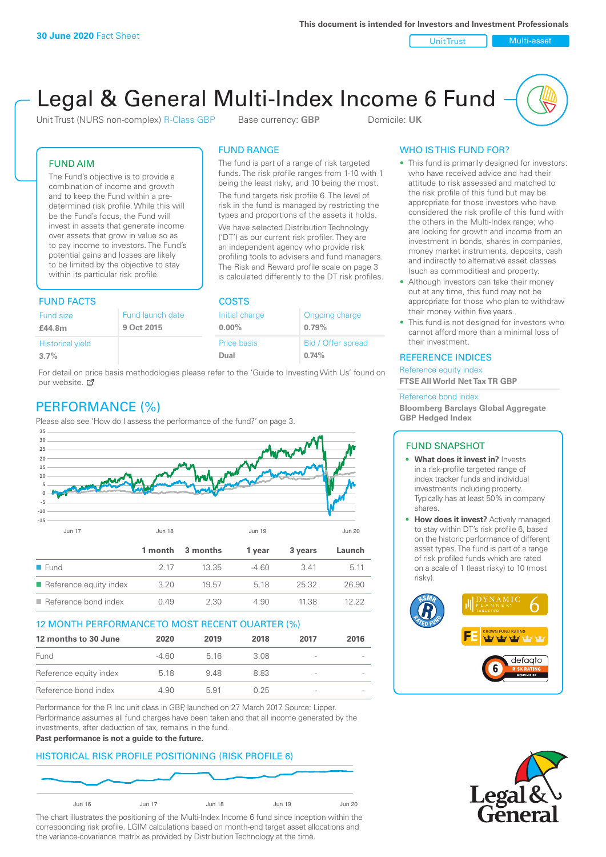Unit Trust Nulti-asset

# Legal & General Multi-Index Income 6 Fund

Unit Trust (NURS non-complex) R-Class GBP Base currency: **GBP** Domicile: UK

The fund is part of a range of risk targeted funds. The risk profile ranges from 1-10 with 1 being the least risky, and 10 being the most. The fund targets risk profile 6. The level of risk in the fund is managed by restricting the types and proportions of the assets it holds. We have selected Distribution Technology ('DT') as our current risk profiler. They are an independent agency who provide risk profiling tools to advisers and fund managers. The Risk and Reward profile scale on page 3 is calculated differently to the DT risk profiles.

FUND RANGE

ffer spread

#### FUND AIM

The Fund's objective is to provide a combination of income and growth and to keep the Fund within a predetermined risk profile. While this will be the Fund's focus, the Fund will invest in assets that generate income over assets that grow in value so as to pay income to investors. The Fund's potential gains and losses are likely to be limited by the objective to stay within its particular risk profile.

#### FUND FACTS COSTS

| Fund size               | Fund launch date | Initial charge | Ongoing charge    |  |
|-------------------------|------------------|----------------|-------------------|--|
| £44.8m                  | 9 Oct 2015       | $0.00\%$       | 0.79%             |  |
| <b>Historical yield</b> |                  | Price basis    | Bid / Offer sprea |  |
| 3.7%                    |                  | Dual           | 0.74%             |  |
|                         |                  |                |                   |  |

For detail on price basis methodologies please refer to the 'Guide to Investing With Us' found on our website. Ø

## PERFORMANCE (%)

Please also see 'How do I assess the performance of the fund?' on page 3.



#### 12 MONTH PERFORMANCE TO MOST RECENT QUARTER (%)

| 12 months to 30 June   | 2020  | 2019  | 2018 | 2017                     | 2016 |
|------------------------|-------|-------|------|--------------------------|------|
| Fund                   | -4.60 | 5 1 6 | 3.08 |                          |      |
| Reference equity index | 5.18  | 948   | 883  | -                        |      |
| Reference bond index   | 4.90  | 591   | 0.25 | $\overline{\phantom{a}}$ |      |

Performance for the R Inc unit class in GBP, launched on 27 March 2017. Source: Lipper. Performance assumes all fund charges have been taken and that all income generated by the investments, after deduction of tax, remains in the fund.

#### **Past performance is not a guide to the future.**

#### HISTORICAL RISK PROFILE POSITIONING (RISK PROFILE 6)



The chart illustrates the positioning of the Multi-Index Income 6 fund since inception within the corresponding risk profile. LGIM calculations based on month-end target asset allocations and the variance-covariance matrix as provided by Distribution Technology at the time.

#### WHO IS THIS FUND FOR?

- This fund is primarily designed for investors: who have received advice and had their attitude to risk assessed and matched to the risk profile of this fund but may be appropriate for those investors who have considered the risk profile of this fund with the others in the Multi-Index range; who are looking for growth and income from an investment in bonds, shares in companies, money market instruments, deposits, cash and indirectly to alternative asset classes (such as commodities) and property.
- Although investors can take their money out at any time, this fund may not be appropriate for those who plan to withdraw their money within five years.
- This fund is not designed for investors who cannot afford more than a minimal loss of their investment.

#### REFERENCE INDICES

Reference equity index **FTSE All World Net Tax TR GBP**

#### Reference bond index

**Bloomberg Barclays Global Aggregate GBP Hedged Index**

#### FUND SNAPSHOT

- **• What does it invest in?** Invests in a risk-profile targeted range of index tracker funds and individual investments including property. Typically has at least 50% in company shares
- **• How does it invest?** Actively managed to stay within DT's risk profile 6, based on the historic performance of different asset types. The fund is part of a range of risk profiled funds which are rated on a scale of 1 (least risky) to 10 (most risky).



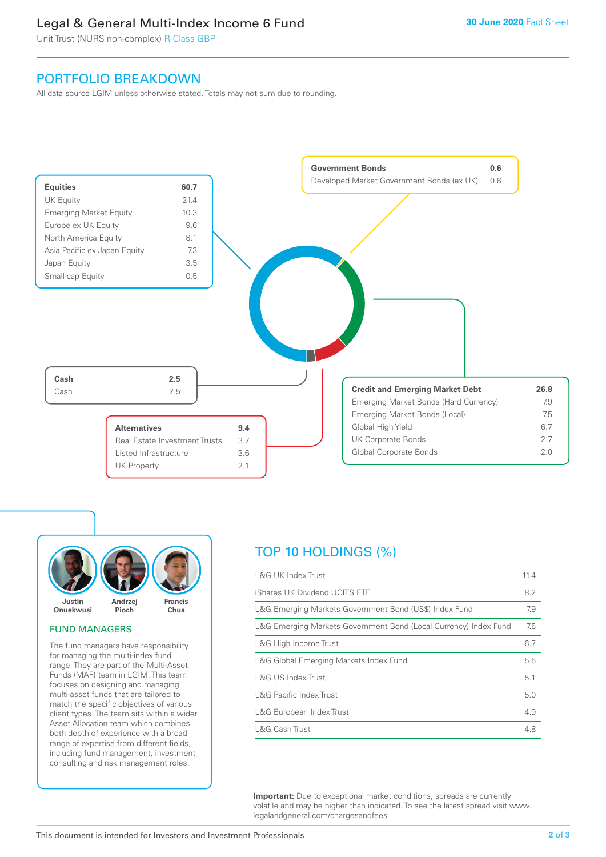## Legal & General Multi-Index Income 6 Fund

Unit Trust (NURS non-complex) R-Class GBP

### PORTFOLIO BREAKDOWN

All data source LGIM unless otherwise stated. Totals may not sum due to rounding.





#### FUND MANAGERS

The fund managers have responsibility for managing the multi-index fund range. They are part of the Multi-Asset Funds (MAF) team in LGIM. This team focuses on designing and managing multi-asset funds that are tailored to match the specific objectives of various client types. The team sits within a wider Asset Allocation team which combines both depth of experience with a broad range of expertise from different fields, including fund management, investment consulting and risk management roles.

# TOP 10 HOLDINGS (%)

| <b>L&amp;G UK Index Trust</b>                                    | 11.4 |
|------------------------------------------------------------------|------|
| iShares UK Dividend UCITS ETF                                    | 8.2  |
| L&G Emerging Markets Government Bond (US\$) Index Fund           | 7.9  |
| L&G Emerging Markets Government Bond (Local Currency) Index Fund | 7.5  |
| L&G High Income Trust                                            | 6.7  |
| L&G Global Emerging Markets Index Fund                           | 5.5  |
| L&G US Index Trust                                               | 5.1  |
| <b>L&amp;G Pacific Index Trust</b>                               | 5.0  |
| L&G European Index Trust                                         | 4.9  |
| L&G Cash Trust                                                   | 4.8  |

**Important:** Due to exceptional market conditions, spreads are currently volatile and may be higher than indicated. To see the latest spread visit www. legalandgeneral.com/chargesandfees